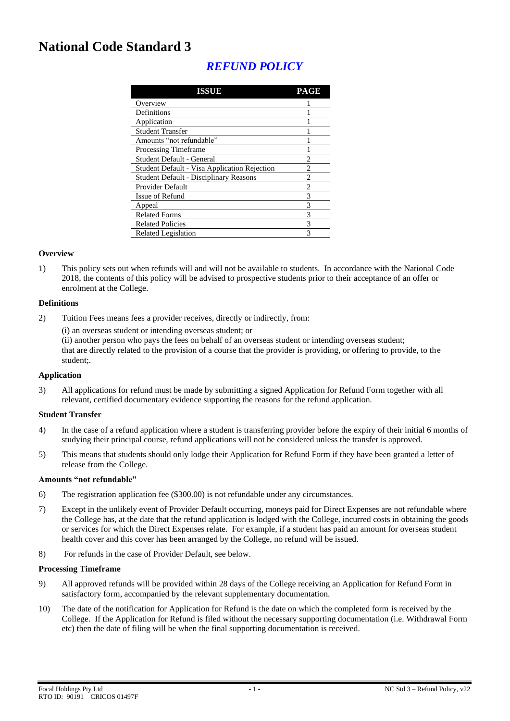# **National Code Standard 3**

# *REFUND POLICY*

| ISSUE                                               | <b>PAGE</b>                 |
|-----------------------------------------------------|-----------------------------|
| Overview                                            |                             |
| Definitions                                         |                             |
| Application                                         |                             |
| <b>Student Transfer</b>                             |                             |
| Amounts "not refundable"                            |                             |
| Processing Timeframe                                |                             |
| Student Default - General                           | 2                           |
| <b>Student Default - Visa Application Rejection</b> | $\mathfrak{D}$              |
| <b>Student Default - Disciplinary Reasons</b>       | $\mathcal{D}_{\mathcal{A}}$ |
| <b>Provider Default</b>                             | 2                           |
| Issue of Refund                                     | 3                           |
| Appeal                                              | 3                           |
| <b>Related Forms</b>                                | 3                           |
| <b>Related Policies</b>                             | 3                           |
| Related Legislation                                 | 3                           |

# **Overview**

1) This policy sets out when refunds will and will not be available to students. In accordance with the National Code 2018, the contents of this policy will be advised to prospective students prior to their acceptance of an offer or enrolment at the College.

#### **Definitions**

2) Tuition Fees means fees a provider receives, directly or indirectly, from:

(i) an overseas student or intending overseas student; or

(ii) another person who pays the fees on behalf of an overseas student or intending overseas student; that are directly related to the provision of a course that the provider is providing, or offering to provide, to the student;.

#### **Application**

3) All applications for refund must be made by submitting a signed Application for Refund Form together with all relevant, certified documentary evidence supporting the reasons for the refund application.

#### **Student Transfer**

- 4) In the case of a refund application where a student is transferring provider before the expiry of their initial 6 months of studying their principal course, refund applications will not be considered unless the transfer is approved.
- 5) This means that students should only lodge their Application for Refund Form if they have been granted a letter of release from the College.

#### **Amounts "not refundable"**

- 6) The registration application fee (\$300.00) is not refundable under any circumstances.
- 7) Except in the unlikely event of Provider Default occurring, moneys paid for Direct Expenses are not refundable where the College has, at the date that the refund application is lodged with the College, incurred costs in obtaining the goods or services for which the Direct Expenses relate. For example, if a student has paid an amount for overseas student health cover and this cover has been arranged by the College, no refund will be issued.
- 8) For refunds in the case of Provider Default, see below.

#### **Processing Timeframe**

- 9) All approved refunds will be provided within 28 days of the College receiving an Application for Refund Form in satisfactory form, accompanied by the relevant supplementary documentation.
- 10) The date of the notification for Application for Refund is the date on which the completed form is received by the College. If the Application for Refund is filed without the necessary supporting documentation (i.e. Withdrawal Form etc) then the date of filing will be when the final supporting documentation is received.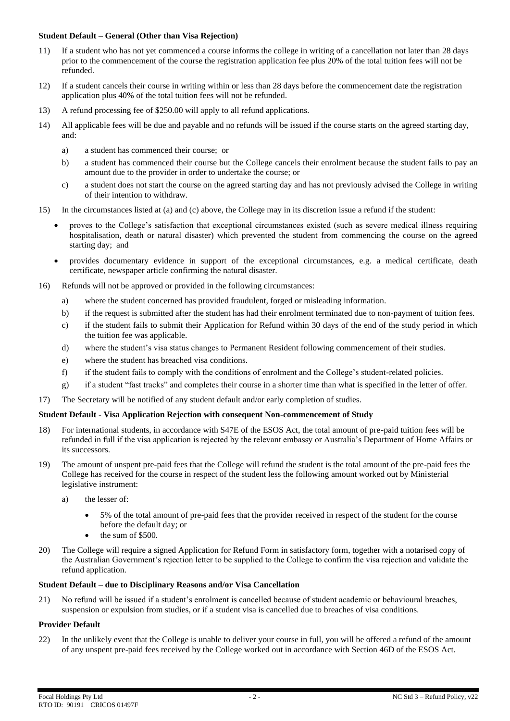# **Student Default – General (Other than Visa Rejection)**

- 11) If a student who has not yet commenced a course informs the college in writing of a cancellation not later than 28 days prior to the commencement of the course the registration application fee plus 20% of the total tuition fees will not be refunded.
- 12) If a student cancels their course in writing within or less than 28 days before the commencement date the registration application plus 40% of the total tuition fees will not be refunded.
- 13) A refund processing fee of \$250.00 will apply to all refund applications.
- 14) All applicable fees will be due and payable and no refunds will be issued if the course starts on the agreed starting day, and:
	- a) a student has commenced their course; or
	- b) a student has commenced their course but the College cancels their enrolment because the student fails to pay an amount due to the provider in order to undertake the course; or
	- c) a student does not start the course on the agreed starting day and has not previously advised the College in writing of their intention to withdraw.
- 15) In the circumstances listed at (a) and (c) above, the College may in its discretion issue a refund if the student:
	- proves to the College's satisfaction that exceptional circumstances existed (such as severe medical illness requiring hospitalisation, death or natural disaster) which prevented the student from commencing the course on the agreed starting day; and
	- provides documentary evidence in support of the exceptional circumstances, e.g. a medical certificate, death certificate, newspaper article confirming the natural disaster.
- 16) Refunds will not be approved or provided in the following circumstances:
	- a) where the student concerned has provided fraudulent, forged or misleading information.
	- b) if the request is submitted after the student has had their enrolment terminated due to non-payment of tuition fees.
	- c) if the student fails to submit their Application for Refund within 30 days of the end of the study period in which the tuition fee was applicable.
	- d) where the student's visa status changes to Permanent Resident following commencement of their studies.
	- e) where the student has breached visa conditions.
	- f) if the student fails to comply with the conditions of enrolment and the College's student-related policies.
	- g) if a student "fast tracks" and completes their course in a shorter time than what is specified in the letter of offer.
- 17) The Secretary will be notified of any student default and/or early completion of studies.

#### **Student Default - Visa Application Rejection with consequent Non-commencement of Study**

- 18) For international students, in accordance with S47E of the ESOS Act, the total amount of pre-paid tuition fees will be refunded in full if the visa application is rejected by the relevant embassy or Australia's Department of Home Affairs or its successors.
- 19) The amount of unspent pre-paid fees that the College will refund the student is the total amount of the pre-paid fees the College has received for the course in respect of the student less the following amount worked out by Ministerial legislative instrument:
	- a) the lesser of:
		- 5% of the total amount of pre-paid fees that the provider received in respect of the student for the course before the default day; or
		- the sum of \$500.
- 20) The College will require a signed Application for Refund Form in satisfactory form, together with a notarised copy of the Australian Government's rejection letter to be supplied to the College to confirm the visa rejection and validate the refund application.

# **Student Default – due to Disciplinary Reasons and/or Visa Cancellation**

21) No refund will be issued if a student's enrolment is cancelled because of student academic or behavioural breaches, suspension or expulsion from studies, or if a student visa is cancelled due to breaches of visa conditions.

# **Provider Default**

22) In the unlikely event that the College is unable to deliver your course in full, you will be offered a refund of the amount of any unspent pre-paid fees received by the College worked out in accordance with Section 46D of the ESOS Act.